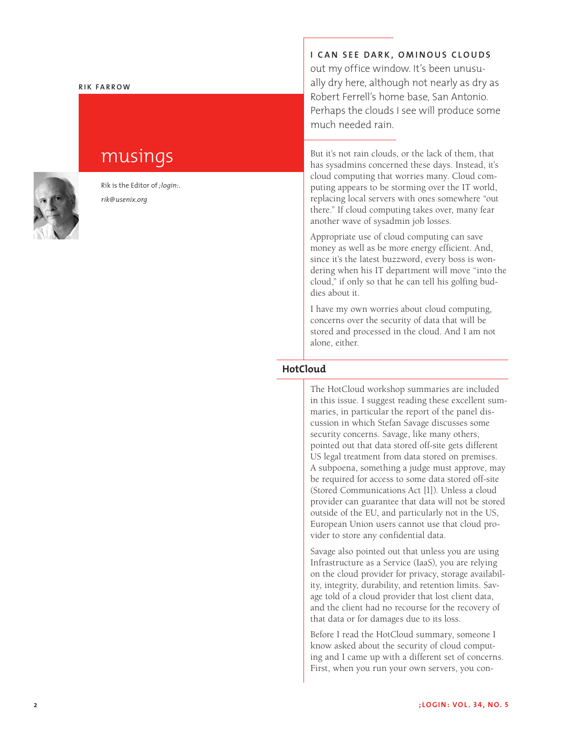### **Rik Fa rr o w**

# musings



Rik is the Editor of *;login:*. *rik@usenix.org*

**I CAN SEE DARK, OMINOUS CLOUDS** out my office window. It's been unusually dry here, although not nearly as dry as Robert Ferrell's home base, San Antonio. Perhaps the clouds I see will produce some much needed rain.

But it's not rain clouds, or the lack of them, that has sysadmins concerned these days. Instead, it's cloud computing that worries many. Cloud computing appears to be storming over the IT world, replacing local servers with ones somewhere "out there." If cloud computing takes over, many fear another wave of sysadmin job losses.

Appropriate use of cloud computing can save money as well as be more energy efficient. And, since it's the latest buzzword, every boss is wondering when his IT department will move "into the cloud," if only so that he can tell his golfing buddies about it.

I have my own worries about cloud computing, concerns over the security of data that will be stored and processed in the cloud. And I am not alone, either.

## **HotCloud**

The HotCloud workshop summaries are included in this issue. I suggest reading these excellent summaries, in particular the report of the panel discussion in which Stefan Savage discusses some security concerns. Savage, like many others, pointed out that data stored off-site gets different US legal treatment from data stored on premises. A subpoena, something a judge must approve, may be required for access to some data stored off-site (Stored Communications Act [1]). Unless a cloud provider can guarantee that data will not be stored outside of the EU, and particularly not in the US, European Union users cannot use that cloud provider to store any confidential data.

Savage also pointed out that unless you are using Infrastructure as a Service (IaaS), you are relying on the cloud provider for privacy, storage availability, integrity, durability, and retention limits. Savage told of a cloud provider that lost client data, and the client had no recourse for the recovery of that data or for damages due to its loss.

Before I read the HotCloud summary, someone I know asked about the security of cloud computing and I came up with a different set of concerns. First, when you run your own servers, you con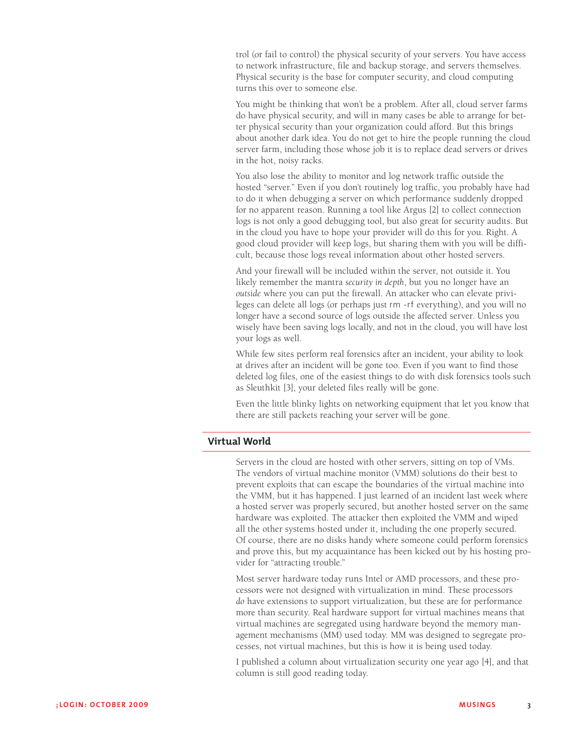trol (or fail to control) the physical security of your servers. You have access to network infrastructure, file and backup storage, and servers themselves. Physical security is the base for computer security, and cloud computing turns this over to someone else.

You might be thinking that won't be a problem. After all, cloud server farms do have physical security, and will in many cases be able to arrange for better physical security than your organization could afford. But this brings about another dark idea. You do not get to hire the people running the cloud server farm, including those whose job it is to replace dead servers or drives in the hot, noisy racks.

You also lose the ability to monitor and log network traffic outside the hosted "server." Even if you don't routinely log traffic, you probably have had to do it when debugging a server on which performance suddenly dropped for no apparent reason. Running a tool like Argus [2] to collect connection logs is not only a good debugging tool, but also great for security audits. But in the cloud you have to hope your provider will do this for you. Right. A good cloud provider will keep logs, but sharing them with you will be difficult, because those logs reveal information about other hosted servers.

And your firewall will be included within the server, not outside it. You likely remember the mantra *security in depth*, but you no longer have an *outside* where you can put the firewall. An attacker who can elevate privileges can delete all logs (or perhaps just rm -rf everything), and you will no longer have a second source of logs outside the affected server. Unless you wisely have been saving logs locally, and not in the cloud, you will have lost your logs as well.

While few sites perform real forensics after an incident, your ability to look at drives after an incident will be gone too. Even if you want to find those deleted log files, one of the easiest things to do with disk forensics tools such as Sleuthkit [3], your deleted files really will be gone.

Even the little blinky lights on networking equipment that let you know that there are still packets reaching your server will be gone.

# **Virtual World**

Servers in the cloud are hosted with other servers, sitting on top of VMs. The vendors of virtual machine monitor (VMM) solutions do their best to prevent exploits that can escape the boundaries of the virtual machine into the VMM, but it has happened. I just learned of an incident last week where a hosted server was properly secured, but another hosted server on the same hardware was exploited. The attacker then exploited the VMM and wiped all the other systems hosted under it, including the one properly secured. Of course, there are no disks handy where someone could perform forensics and prove this, but my acquaintance has been kicked out by his hosting provider for "attracting trouble."

Most server hardware today runs Intel or AMD processors, and these processors were not designed with virtualization in mind. These processors *do* have extensions to support virtualization, but these are for performance more than security. Real hardware support for virtual machines means that virtual machines are segregated using hardware beyond the memory management mechanisms (MM) used today. MM was designed to segregate processes, not virtual machines, but this is how it is being used today.

I published a column about virtualization security one year ago [4], and that column is still good reading today.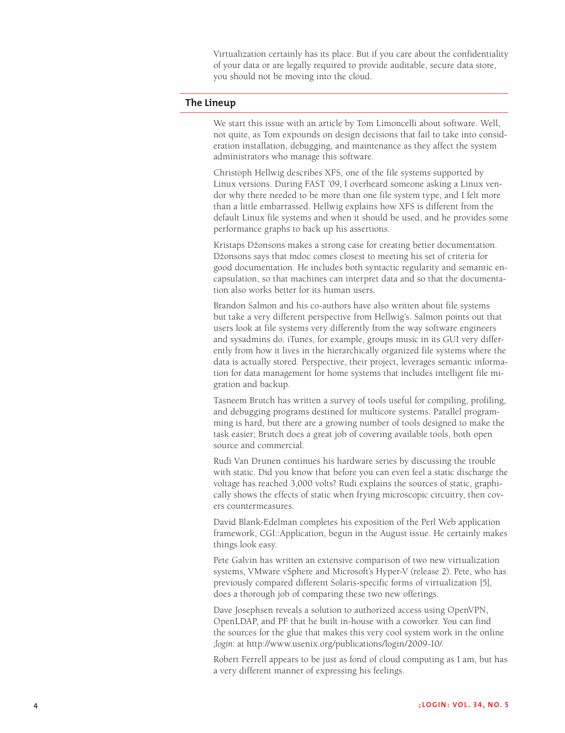Virtualization certainly has its place. But if you care about the confidentiality of your data or are legally required to provide auditable, secure data store, you should not be moving into the cloud.

## **The Lineup**

We start this issue with an article by Tom Limoncelli about software. Well, not quite, as Tom expounds on design decisions that fail to take into consid eration installation, debugging, and maintenance as they affect the system administrators who manage this software.

Christoph Hellwig describes XFS, one of the file systems supported by Linux versions. During FAST '09, I overheard someone asking a Linux ven dor why there needed to be more than one file system type, and I felt more than a little embarrassed. Hellwig explains how XFS is different from the default Linux file systems and when it should be used, and he provides some performance graphs to back up his assertions.

Kristaps Džonsons makes a strong case for creating better documentation. Džonsons says that mdoc comes closest to meeting his set of criteria for good documentation. He includes both syntactic regularity and semantic en capsulation, so that machines can interpret data and so that the documenta tion also works better for its human users.

Brandon Salmon and his co-authors have also written about file systems but take a very different perspective from Hellwig's. Salmon points out that users look at file systems very differently from the way software engineers and sysadmins do. iTunes, for example, groups music in its GUI very differently from how it lives in the hierarchically organized file systems where the data is actually stored. Perspective, their project, leverages semantic informa tion for data management for home systems that includes intelligent file mi gration and backup.

Tasneem Brutch has written a survey of tools useful for compiling, profiling, and debugging programs destined for multicore systems. Parallel program ming is hard, but there are a growing number of tools designed to make the task easier; Brutch does a great job of covering available tools, both open source and commercial.

Rudi Van Drunen continues his hardware series by discussing the trouble with static. Did you know that before you can even feel a static discharge the voltage has reached 3,000 volts? Rudi explains the sources of static, graphi cally shows the effects of static when frying microscopic circuitry, then cov ers countermeasures.

David Blank-Edelman completes his exposition of the Perl Web application framework, CGI::Application, begun in the August issue. He certainly makes things look easy.

Pete Galvin has written an extensive comparison of two new virtualization systems, VMware vSphere and Microsoft's Hyper-V (release 2). Pete, who has previously compared different Solaris-specific forms of virtualization [5], does a thorough job of comparing these two new offerings.

Dave Josephsen reveals a solution to authorized access using OpenVPN, OpenLDAP, and PF that he built in-house with a coworker. You can find the sources for the glue that makes this very cool system work in the online *;login:* at http://www.usenix.org/publications/login/2009-10/.

Robert Ferrell appears to be just as fond of cloud computing as I am, but has a very different manner of expressing his feelings.